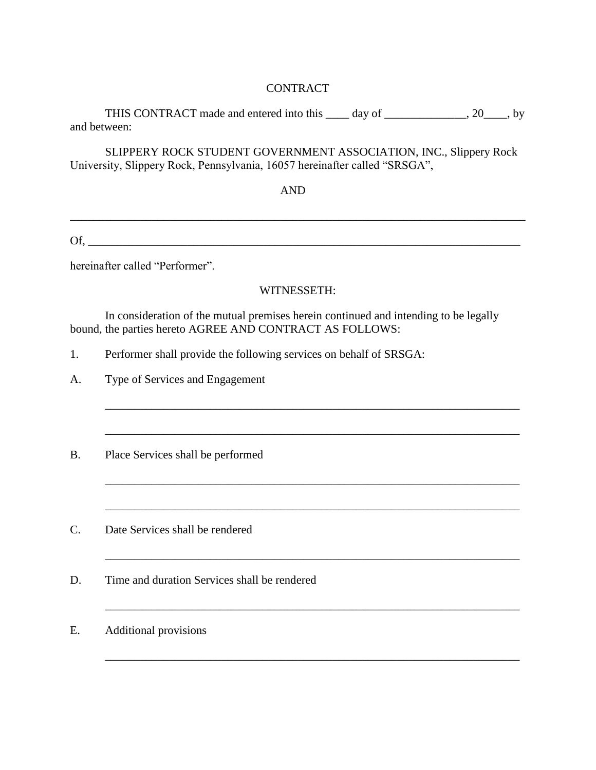## CONTRACT

THIS CONTRACT made and entered into this \_\_\_\_ day of \_\_\_\_\_\_\_\_\_\_\_\_, 20\_\_\_\_, by and between:

SLIPPERY ROCK STUDENT GOVERNMENT ASSOCIATION, INC., Slippery Rock University, Slippery Rock, Pennsylvania, 16057 hereinafter called "SRSGA",

## AND

 $\chi_{\rm{C}}$ 

 $\mathcal{L}_\mathcal{L} = \mathcal{L}_\mathcal{L} = \mathcal{L}_\mathcal{L} = \mathcal{L}_\mathcal{L} = \mathcal{L}_\mathcal{L} = \mathcal{L}_\mathcal{L} = \mathcal{L}_\mathcal{L} = \mathcal{L}_\mathcal{L} = \mathcal{L}_\mathcal{L} = \mathcal{L}_\mathcal{L} = \mathcal{L}_\mathcal{L} = \mathcal{L}_\mathcal{L} = \mathcal{L}_\mathcal{L} = \mathcal{L}_\mathcal{L} = \mathcal{L}_\mathcal{L} = \mathcal{L}_\mathcal{L} = \mathcal{L}_\mathcal{L}$ 

hereinafter called "Performer".

## WITNESSETH:

\_\_\_\_\_\_\_\_\_\_\_\_\_\_\_\_\_\_\_\_\_\_\_\_\_\_\_\_\_\_\_\_\_\_\_\_\_\_\_\_\_\_\_\_\_\_\_\_\_\_\_\_\_\_\_\_\_\_\_\_\_\_\_\_\_\_\_\_\_\_\_

 $\mathcal{L}_\text{max} = \mathcal{L}_\text{max} = \mathcal{L}_\text{max} = \mathcal{L}_\text{max} = \mathcal{L}_\text{max} = \mathcal{L}_\text{max} = \mathcal{L}_\text{max}$ 

\_\_\_\_\_\_\_\_\_\_\_\_\_\_\_\_\_\_\_\_\_\_\_\_\_\_\_\_\_\_\_\_\_\_\_\_\_\_\_\_\_\_\_\_\_\_\_\_\_\_\_\_\_\_\_\_\_\_\_\_\_\_\_\_\_\_\_\_\_\_\_

\_\_\_\_\_\_\_\_\_\_\_\_\_\_\_\_\_\_\_\_\_\_\_\_\_\_\_\_\_\_\_\_\_\_\_\_\_\_\_\_\_\_\_\_\_\_\_\_\_\_\_\_\_\_\_\_\_\_\_\_\_\_\_\_\_\_\_\_\_\_\_

 $\mathcal{L}_\mathcal{L} = \mathcal{L}_\mathcal{L} = \mathcal{L}_\mathcal{L} = \mathcal{L}_\mathcal{L} = \mathcal{L}_\mathcal{L} = \mathcal{L}_\mathcal{L} = \mathcal{L}_\mathcal{L} = \mathcal{L}_\mathcal{L} = \mathcal{L}_\mathcal{L} = \mathcal{L}_\mathcal{L} = \mathcal{L}_\mathcal{L} = \mathcal{L}_\mathcal{L} = \mathcal{L}_\mathcal{L} = \mathcal{L}_\mathcal{L} = \mathcal{L}_\mathcal{L} = \mathcal{L}_\mathcal{L} = \mathcal{L}_\mathcal{L}$ 

 $\overline{a_1}$  ,  $\overline{a_2}$  ,  $\overline{a_3}$  ,  $\overline{a_4}$  ,  $\overline{a_5}$  ,  $\overline{a_6}$  ,  $\overline{a_7}$  ,  $\overline{a_8}$  ,  $\overline{a_9}$  ,  $\overline{a_9}$  ,  $\overline{a_9}$  ,  $\overline{a_9}$  ,  $\overline{a_9}$  ,  $\overline{a_9}$  ,  $\overline{a_9}$  ,  $\overline{a_9}$  ,  $\overline{a_9}$  ,

In consideration of the mutual premises herein continued and intending to be legally bound, the parties hereto AGREE AND CONTRACT AS FOLLOWS:

- 1. Performer shall provide the following services on behalf of SRSGA:
- A. Type of Services and Engagement
- B. Place Services shall be performed
- C. Date Services shall be rendered
- D. Time and duration Services shall be rendered
- E. Additional provisions